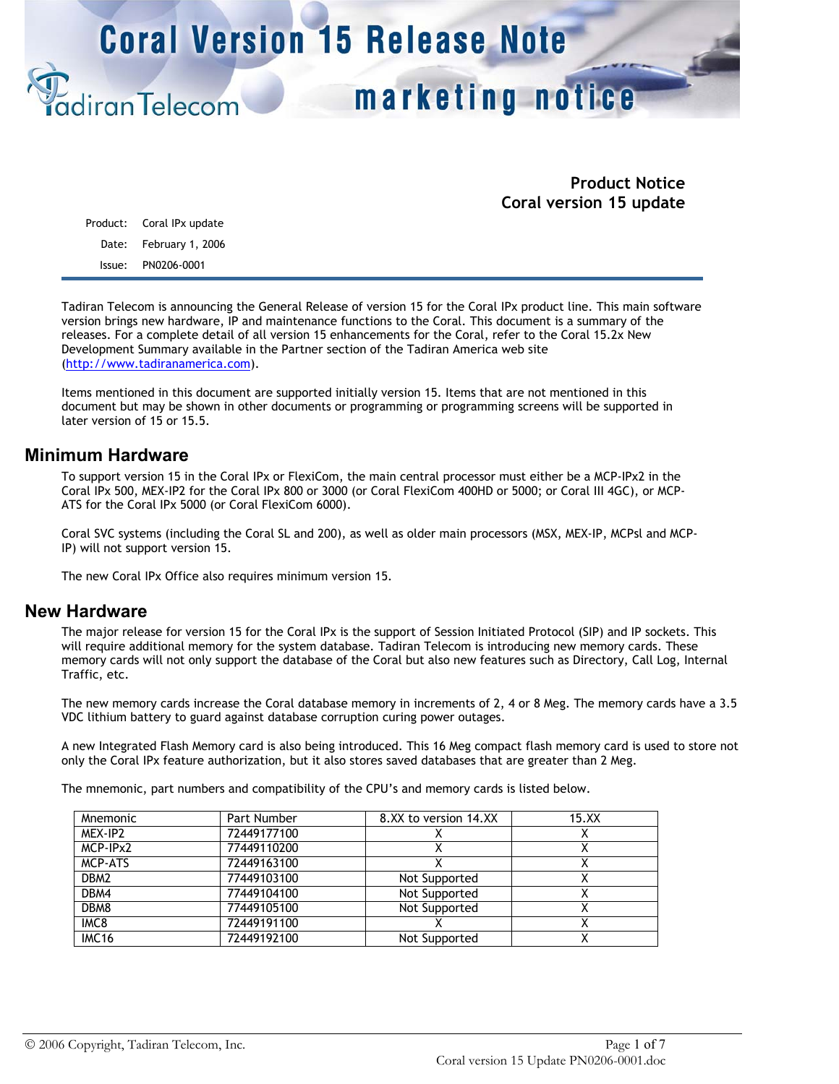# marketing notice

## **Product Notice Coral version 15 update**

|        | Product: Coral IPx update |
|--------|---------------------------|
|        | Date: February 1, 2006    |
| Issue: | PN0206-0001               |

diranTelecom

Tadiran Telecom is announcing the General Release of version 15 for the Coral IPx product line. This main software version brings new hardware, IP and maintenance functions to the Coral. This document is a summary of the releases. For a complete detail of all version 15 enhancements for the Coral, refer to the Coral 15.2x New Development Summary available in the Partner section of the Tadiran America web site (http://www.tadiranamerica.com).

Items mentioned in this document are supported initially version 15. Items that are not mentioned in this document but may be shown in other documents or programming or programming screens will be supported in later version of 15 or 15.5.

### **Minimum Hardware**

To support version 15 in the Coral IPx or FlexiCom, the main central processor must either be a MCP-IPx2 in the Coral IPx 500, MEX-IP2 for the Coral IPx 800 or 3000 (or Coral FlexiCom 400HD or 5000; or Coral III 4GC), or MCP-ATS for the Coral IPx 5000 (or Coral FlexiCom 6000).

Coral SVC systems (including the Coral SL and 200), as well as older main processors (MSX, MEX-IP, MCPsl and MCP-IP) will not support version 15.

The new Coral IPx Office also requires minimum version 15.

### **New Hardware**

The major release for version 15 for the Coral IPx is the support of Session Initiated Protocol (SIP) and IP sockets. This will require additional memory for the system database. Tadiran Telecom is introducing new memory cards. These memory cards will not only support the database of the Coral but also new features such as Directory, Call Log, Internal Traffic, etc.

The new memory cards increase the Coral database memory in increments of 2, 4 or 8 Meg. The memory cards have a 3.5 VDC lithium battery to guard against database corruption curing power outages.

A new Integrated Flash Memory card is also being introduced. This 16 Meg compact flash memory card is used to store not only the Coral IPx feature authorization, but it also stores saved databases that are greater than 2 Meg.

The mnemonic, part numbers and compatibility of the CPU's and memory cards is listed below.

| <b>Mnemonic</b>  | Part Number | 8.XX to version 14.XX | 15.XX |
|------------------|-------------|-----------------------|-------|
| MEX-IP2          | 72449177100 |                       |       |
| MCP-IPx2         | 77449110200 |                       |       |
| <b>MCP-ATS</b>   | 72449163100 |                       |       |
| DBM <sub>2</sub> | 77449103100 | Not Supported         |       |
| DBM4             | 77449104100 | Not Supported         |       |
| DBM8             | 77449105100 | Not Supported         |       |
| IMC8             | 72449191100 |                       |       |
| <b>IMC16</b>     | 72449192100 | Not Supported         |       |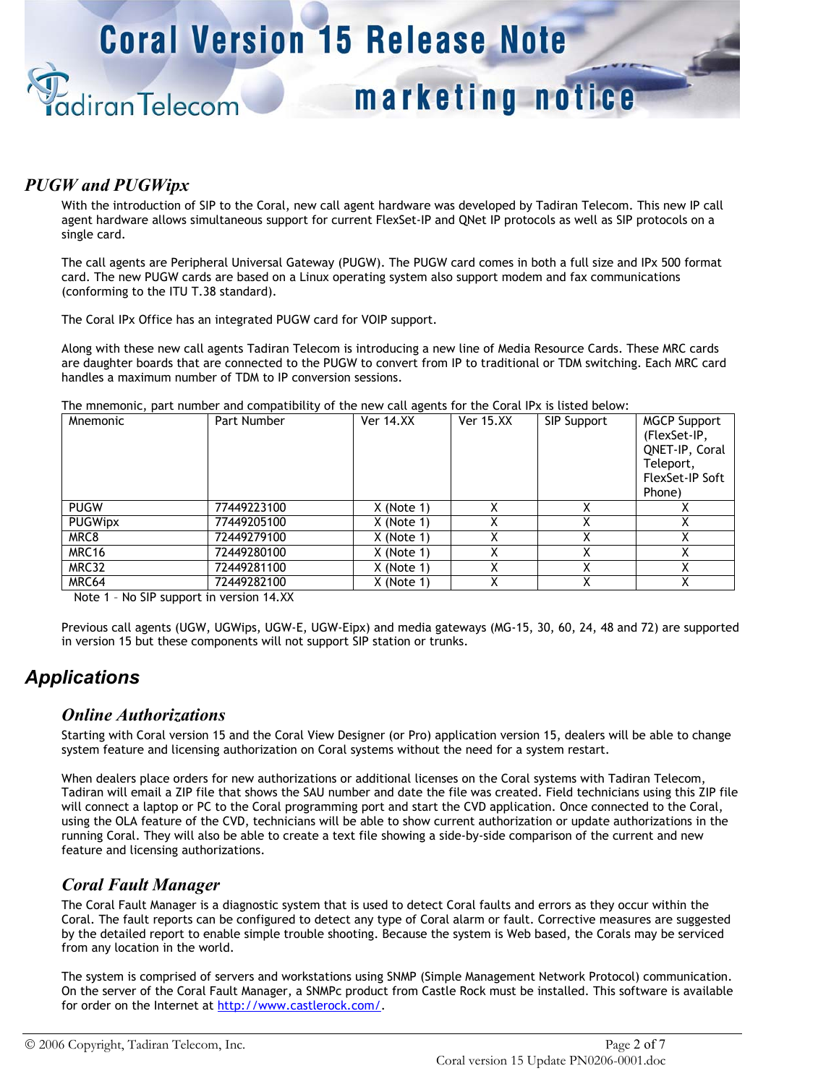# marketing notice

## *PUGW and PUGWipx*

diranTelecom

With the introduction of SIP to the Coral, new call agent hardware was developed by Tadiran Telecom. This new IP call agent hardware allows simultaneous support for current FlexSet-IP and QNet IP protocols as well as SIP protocols on a single card.

The call agents are Peripheral Universal Gateway (PUGW). The PUGW card comes in both a full size and IPx 500 format card. The new PUGW cards are based on a Linux operating system also support modem and fax communications (conforming to the ITU T.38 standard).

The Coral IPx Office has an integrated PUGW card for VOIP support.

Along with these new call agents Tadiran Telecom is introducing a new line of Media Resource Cards. These MRC cards are daughter boards that are connected to the PUGW to convert from IP to traditional or TDM switching. Each MRC card handles a maximum number of TDM to IP conversion sessions.

The mnemonic, part number and compatibility of the new call agents for the Coral IPx is listed below:

| <b>Mnemonic</b>   | Part Number | <b>Ver 14.XX</b> | <b>Ver 15.XX</b> | SIP Support | <b>MGCP Support</b><br>(FlexSet-IP,<br>QNET-IP, Coral<br>Teleport,<br>FlexSet-IP Soft<br>Phone) |
|-------------------|-------------|------------------|------------------|-------------|-------------------------------------------------------------------------------------------------|
| <b>PUGW</b>       | 77449223100 | $X$ (Note 1)     |                  | х           |                                                                                                 |
| <b>PUGWipx</b>    | 77449205100 | $X$ (Note 1)     | ∧                | χ           |                                                                                                 |
| MRC8              | 72449279100 | $X$ (Note 1)     | v                | χ           |                                                                                                 |
| MRC <sub>16</sub> | 72449280100 | $X$ (Note 1)     | χ                | χ           |                                                                                                 |
| MRC32             | 72449281100 | $X$ (Note 1)     | v<br>⋏           | х           |                                                                                                 |
| MRC64             | 72449282100 | $X$ (Note 1)     | Χ                | Χ           |                                                                                                 |

Note 1 – No SIP support in version 14.XX

Previous call agents (UGW, UGWips, UGW-E, UGW-Eipx) and media gateways (MG-15, 30, 60, 24, 48 and 72) are supported in version 15 but these components will not support SIP station or trunks.

# *Applications*

### *Online Authorizations*

Starting with Coral version 15 and the Coral View Designer (or Pro) application version 15, dealers will be able to change system feature and licensing authorization on Coral systems without the need for a system restart.

When dealers place orders for new authorizations or additional licenses on the Coral systems with Tadiran Telecom, Tadiran will email a ZIP file that shows the SAU number and date the file was created. Field technicians using this ZIP file will connect a laptop or PC to the Coral programming port and start the CVD application. Once connected to the Coral, using the OLA feature of the CVD, technicians will be able to show current authorization or update authorizations in the running Coral. They will also be able to create a text file showing a side-by-side comparison of the current and new feature and licensing authorizations.

## *Coral Fault Manager*

The Coral Fault Manager is a diagnostic system that is used to detect Coral faults and errors as they occur within the Coral. The fault reports can be configured to detect any type of Coral alarm or fault. Corrective measures are suggested by the detailed report to enable simple trouble shooting. Because the system is Web based, the Corals may be serviced from any location in the world.

The system is comprised of servers and workstations using SNMP (Simple Management Network Protocol) communication. On the server of the Coral Fault Manager, a SNMPc product from Castle Rock must be installed. This software is available for order on the Internet at http://www.castlerock.com/.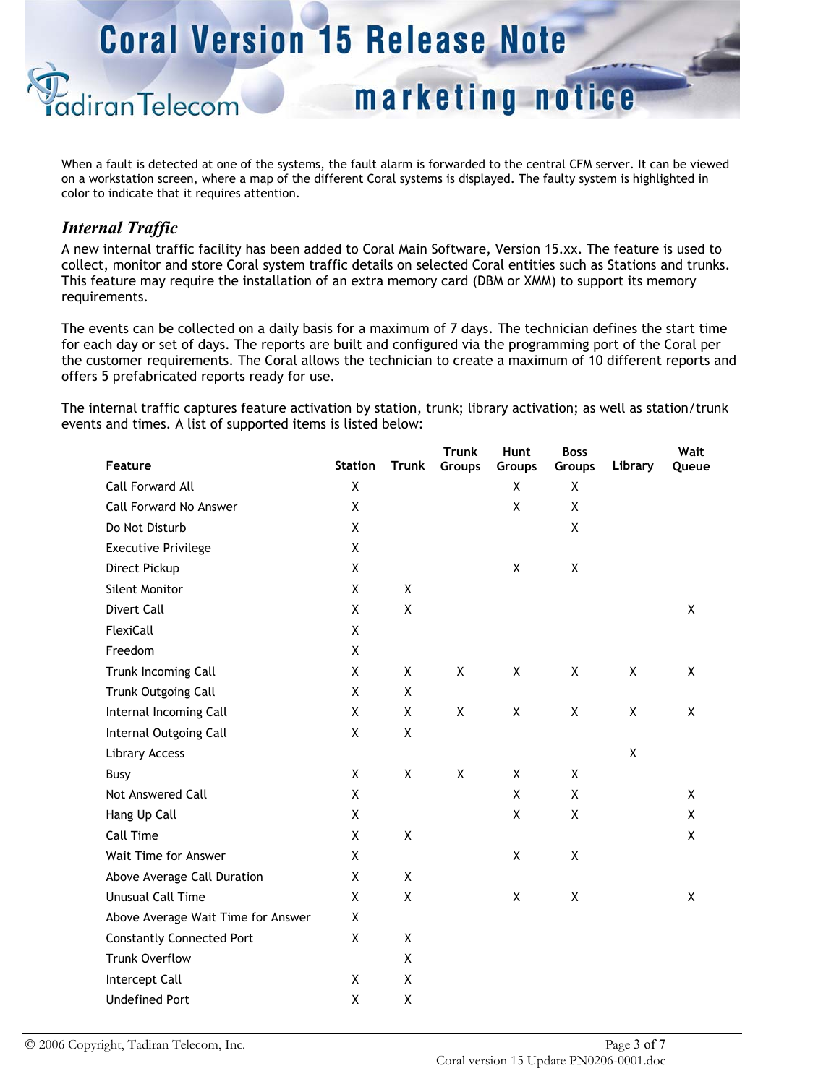marketing notice

When a fault is detected at one of the systems, the fault alarm is forwarded to the central CFM server. It can be viewed on a workstation screen, where a map of the different Coral systems is displayed. The faulty system is highlighted in color to indicate that it requires attention.

# *Internal Traffic*

diran Telecom

A new internal traffic facility has been added to Coral Main Software, Version 15.xx. The feature is used to collect, monitor and store Coral system traffic details on selected Coral entities such as Stations and trunks. This feature may require the installation of an extra memory card (DBM or XMM) to support its memory requirements.

The events can be collected on a daily basis for a maximum of 7 days. The technician defines the start time for each day or set of days. The reports are built and configured via the programming port of the Coral per the customer requirements. The Coral allows the technician to create a maximum of 10 different reports and offers 5 prefabricated reports ready for use.

The internal traffic captures feature activation by station, trunk; library activation; as well as station/trunk events and times. A list of supported items is listed below:

| Feature                            | <b>Station</b> | <b>Trunk</b>       | <b>Trunk</b><br>Groups | Hunt<br>Groups | <b>Boss</b><br>Groups | Library | Wait<br>Queue |
|------------------------------------|----------------|--------------------|------------------------|----------------|-----------------------|---------|---------------|
| <b>Call Forward All</b>            | Χ              |                    |                        | X              | X                     |         |               |
| Call Forward No Answer             | X              |                    |                        | Χ              | X                     |         |               |
| Do Not Disturb                     | X              |                    |                        |                | X                     |         |               |
| <b>Executive Privilege</b>         | X              |                    |                        |                |                       |         |               |
| Direct Pickup                      | X              |                    |                        | X              | X                     |         |               |
| Silent Monitor                     | Χ              | X                  |                        |                |                       |         |               |
| Divert Call                        | X              | X                  |                        |                |                       |         | X             |
| FlexiCall                          | X              |                    |                        |                |                       |         |               |
| Freedom                            | X              |                    |                        |                |                       |         |               |
| Trunk Incoming Call                | X              | X                  | X                      | X              | X                     | X       | X             |
| Trunk Outgoing Call                | X              | X                  |                        |                |                       |         |               |
| Internal Incoming Call             | X              | X                  | X                      | X              | X                     | X       | X             |
| Internal Outgoing Call             | X              | $\pmb{\mathsf{X}}$ |                        |                |                       |         |               |
| Library Access                     |                |                    |                        |                |                       | X       |               |
| Busy                               | X              | X                  | X                      | X              | X                     |         |               |
| Not Answered Call                  | X              |                    |                        | X              | X                     |         | X             |
| Hang Up Call                       | X              |                    |                        | X              | Χ                     |         | X             |
| Call Time                          | X              | X                  |                        |                |                       |         | X             |
| Wait Time for Answer               | X              |                    |                        | X              | X                     |         |               |
| Above Average Call Duration        | X              | X                  |                        |                |                       |         |               |
| Unusual Call Time                  | X              | X                  |                        | X              | X                     |         | X             |
| Above Average Wait Time for Answer | X              |                    |                        |                |                       |         |               |
| <b>Constantly Connected Port</b>   | X              | X                  |                        |                |                       |         |               |
| <b>Trunk Overflow</b>              |                | X                  |                        |                |                       |         |               |
| Intercept Call                     | X              | X                  |                        |                |                       |         |               |
| <b>Undefined Port</b>              | Χ              | X                  |                        |                |                       |         |               |
|                                    |                |                    |                        |                |                       |         |               |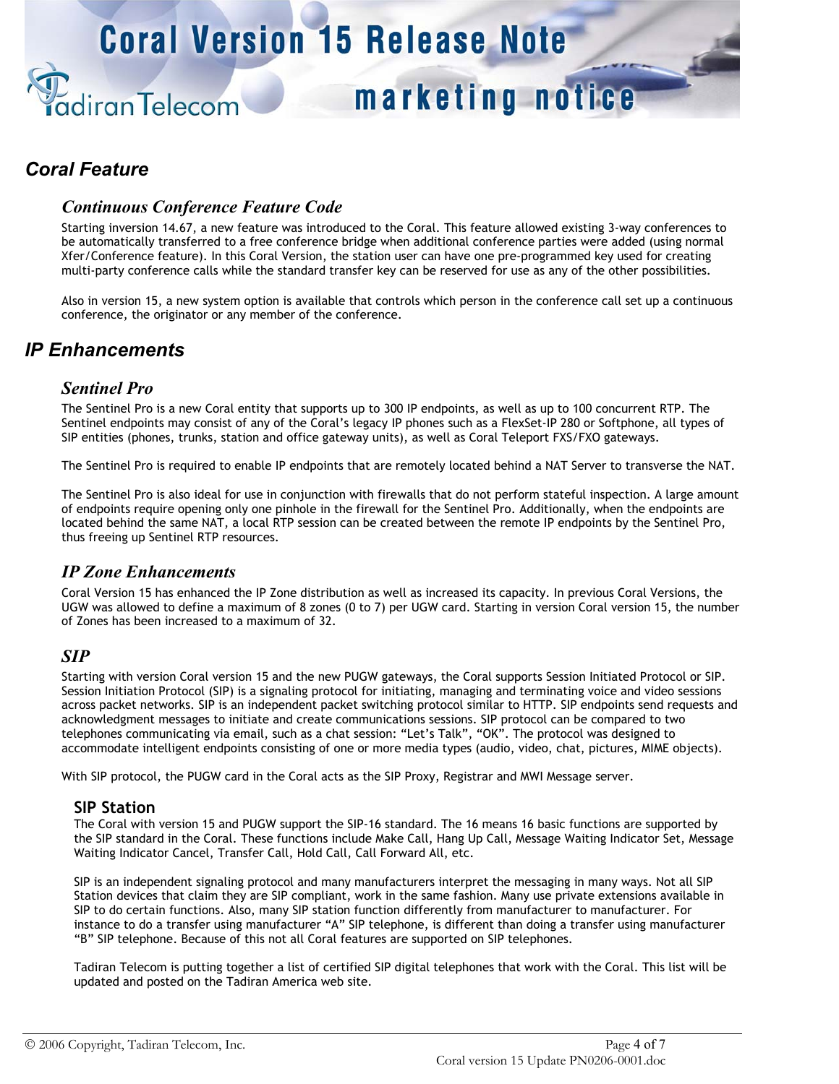# marketing notice

# *Coral Feature*

## *Continuous Conference Feature Code*

diranTelecom

Starting inversion 14.67, a new feature was introduced to the Coral. This feature allowed existing 3-way conferences to be automatically transferred to a free conference bridge when additional conference parties were added (using normal Xfer/Conference feature). In this Coral Version, the station user can have one pre-programmed key used for creating multi-party conference calls while the standard transfer key can be reserved for use as any of the other possibilities.

Also in version 15, a new system option is available that controls which person in the conference call set up a continuous conference, the originator or any member of the conference.

# *IP Enhancements*

## *Sentinel Pro*

The Sentinel Pro is a new Coral entity that supports up to 300 IP endpoints, as well as up to 100 concurrent RTP. The Sentinel endpoints may consist of any of the Coral's legacy IP phones such as a FlexSet-IP 280 or Softphone, all types of SIP entities (phones, trunks, station and office gateway units), as well as Coral Teleport FXS/FXO gateways.

The Sentinel Pro is required to enable IP endpoints that are remotely located behind a NAT Server to transverse the NAT.

The Sentinel Pro is also ideal for use in conjunction with firewalls that do not perform stateful inspection. A large amount of endpoints require opening only one pinhole in the firewall for the Sentinel Pro. Additionally, when the endpoints are located behind the same NAT, a local RTP session can be created between the remote IP endpoints by the Sentinel Pro, thus freeing up Sentinel RTP resources.

## *IP Zone Enhancements*

Coral Version 15 has enhanced the IP Zone distribution as well as increased its capacity. In previous Coral Versions, the UGW was allowed to define a maximum of 8 zones (0 to 7) per UGW card. Starting in version Coral version 15, the number of Zones has been increased to a maximum of 32.

### *SIP*

Starting with version Coral version 15 and the new PUGW gateways, the Coral supports Session Initiated Protocol or SIP. Session Initiation Protocol (SIP) is a signaling protocol for initiating, managing and terminating voice and video sessions across packet networks. SIP is an independent packet switching protocol similar to HTTP. SIP endpoints send requests and acknowledgment messages to initiate and create communications sessions. SIP protocol can be compared to two telephones communicating via email, such as a chat session: "Let's Talk", "OK". The protocol was designed to accommodate intelligent endpoints consisting of one or more media types (audio, video, chat, pictures, MIME objects).

With SIP protocol, the PUGW card in the Coral acts as the SIP Proxy, Registrar and MWI Message server.

### **SIP Station**

The Coral with version 15 and PUGW support the SIP-16 standard. The 16 means 16 basic functions are supported by the SIP standard in the Coral. These functions include Make Call, Hang Up Call, Message Waiting Indicator Set, Message Waiting Indicator Cancel, Transfer Call, Hold Call, Call Forward All, etc.

SIP is an independent signaling protocol and many manufacturers interpret the messaging in many ways. Not all SIP Station devices that claim they are SIP compliant, work in the same fashion. Many use private extensions available in SIP to do certain functions. Also, many SIP station function differently from manufacturer to manufacturer. For instance to do a transfer using manufacturer "A" SIP telephone, is different than doing a transfer using manufacturer "B" SIP telephone. Because of this not all Coral features are supported on SIP telephones.

Tadiran Telecom is putting together a list of certified SIP digital telephones that work with the Coral. This list will be updated and posted on the Tadiran America web site.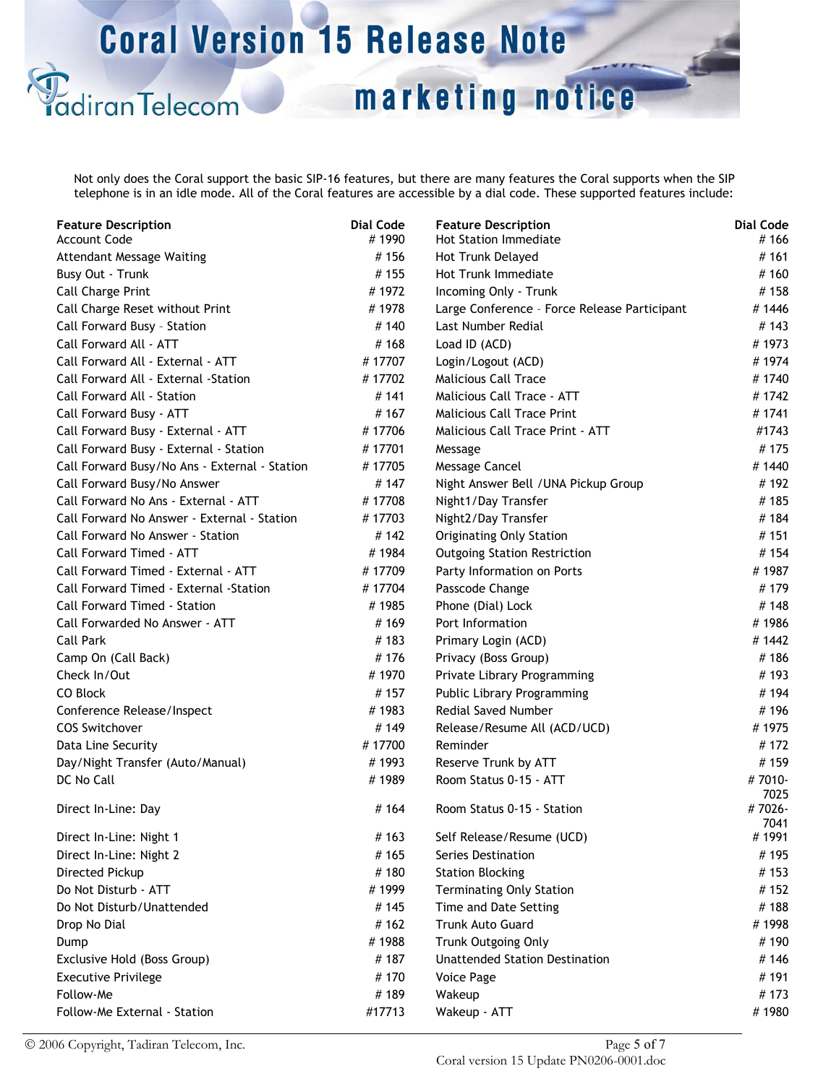)<br>adiranTelecom

marketing notice

Not only does the Coral support the basic SIP-16 features, but there are many features the Coral supports when the SIP telephone is in an idle mode. All of the Coral features are accessible by a dial code. These supported features include:

| <b>Feature Description</b>                    | <b>Dial Code</b><br>#1990 | <b>Feature Description</b>                   | <b>Dial Code</b><br>#166 |
|-----------------------------------------------|---------------------------|----------------------------------------------|--------------------------|
| <b>Account Code</b>                           |                           | <b>Hot Station Immediate</b>                 |                          |
| <b>Attendant Message Waiting</b>              | #156                      | Hot Trunk Delayed                            | #161                     |
| Busy Out - Trunk                              | #155                      | Hot Trunk Immediate                          | #160                     |
| <b>Call Charge Print</b>                      | #1972                     | Incoming Only - Trunk                        | #158                     |
| Call Charge Reset without Print               | #1978                     | Large Conference - Force Release Participant | #1446                    |
| Call Forward Busy - Station                   | #140                      | Last Number Redial                           | # 143                    |
| Call Forward All - ATT                        | #168                      | Load ID (ACD)                                | #1973                    |
| Call Forward All - External - ATT             | #17707                    | Login/Logout (ACD)                           | #1974                    |
| Call Forward All - External -Station          | #17702                    | <b>Malicious Call Trace</b>                  | #1740                    |
| Call Forward All - Station                    | #141                      | Malicious Call Trace - ATT                   | #1742                    |
| Call Forward Busy - ATT                       | #167                      | <b>Malicious Call Trace Print</b>            | #1741                    |
| Call Forward Busy - External - ATT            | #17706                    | Malicious Call Trace Print - ATT             | #1743                    |
| Call Forward Busy - External - Station        | #17701                    | Message                                      | #175                     |
| Call Forward Busy/No Ans - External - Station | #17705                    | Message Cancel                               | #1440                    |
| Call Forward Busy/No Answer                   | #147                      | Night Answer Bell / UNA Pickup Group         | #192                     |
| Call Forward No Ans - External - ATT          | #17708                    | Night1/Day Transfer                          | #185                     |
| Call Forward No Answer - External - Station   | #17703                    | Night2/Day Transfer                          | #184                     |
| Call Forward No Answer - Station              | #142                      | <b>Originating Only Station</b>              | #151                     |
| Call Forward Timed - ATT                      | #1984                     | <b>Outgoing Station Restriction</b>          | #154                     |
| Call Forward Timed - External - ATT           | #17709                    | Party Information on Ports                   | #1987                    |
| Call Forward Timed - External -Station        | #17704                    | Passcode Change                              | #179                     |
| <b>Call Forward Timed - Station</b>           | #1985                     | Phone (Dial) Lock                            | #148                     |
| Call Forwarded No Answer - ATT                | #169                      | Port Information                             | #1986                    |
| Call Park                                     | #183                      | Primary Login (ACD)                          | #1442                    |
| Camp On (Call Back)                           | #176                      | Privacy (Boss Group)                         | #186                     |
| Check In/Out                                  | #1970                     | Private Library Programming                  | #193                     |
| CO Block                                      | #157                      | Public Library Programming                   | #194                     |
| Conference Release/Inspect                    | #1983                     | Redial Saved Number                          | #196                     |
| <b>COS Switchover</b>                         | #149                      | Release/Resume All (ACD/UCD)                 | #1975                    |
| Data Line Security                            | #17700                    | Reminder                                     | #172                     |
| Day/Night Transfer (Auto/Manual)              | #1993                     | Reserve Trunk by ATT                         | #159                     |
| DC No Call                                    | #1989                     | Room Status 0-15 - ATT                       | #7010-                   |
|                                               |                           |                                              | 7025                     |
| Direct In-Line: Day                           | #164                      | Room Status 0-15 - Station                   | #7026-                   |
|                                               |                           |                                              | 7041                     |
| Direct In-Line: Night 1                       | #163                      | Self Release/Resume (UCD)                    | #1991                    |
| Direct In-Line: Night 2                       | #165                      | Series Destination                           | #195                     |
| Directed Pickup                               | #180                      | <b>Station Blocking</b>                      | # 153                    |
| Do Not Disturb - ATT                          | #1999                     | <b>Terminating Only Station</b>              | #152                     |
| Do Not Disturb/Unattended                     | #145                      | Time and Date Setting                        | #188                     |
| Drop No Dial                                  | #162                      | <b>Trunk Auto Guard</b>                      | #1998                    |
| Dump                                          | #1988                     | <b>Trunk Outgoing Only</b>                   | #190                     |
| Exclusive Hold (Boss Group)                   | #187                      | <b>Unattended Station Destination</b>        | #146                     |
| <b>Executive Privilege</b>                    | #170                      | Voice Page                                   | #191                     |
| Follow-Me                                     | #189                      | Wakeup                                       | # 173                    |
| Follow-Me External - Station                  | #17713                    | Wakeup - ATT                                 | #1980                    |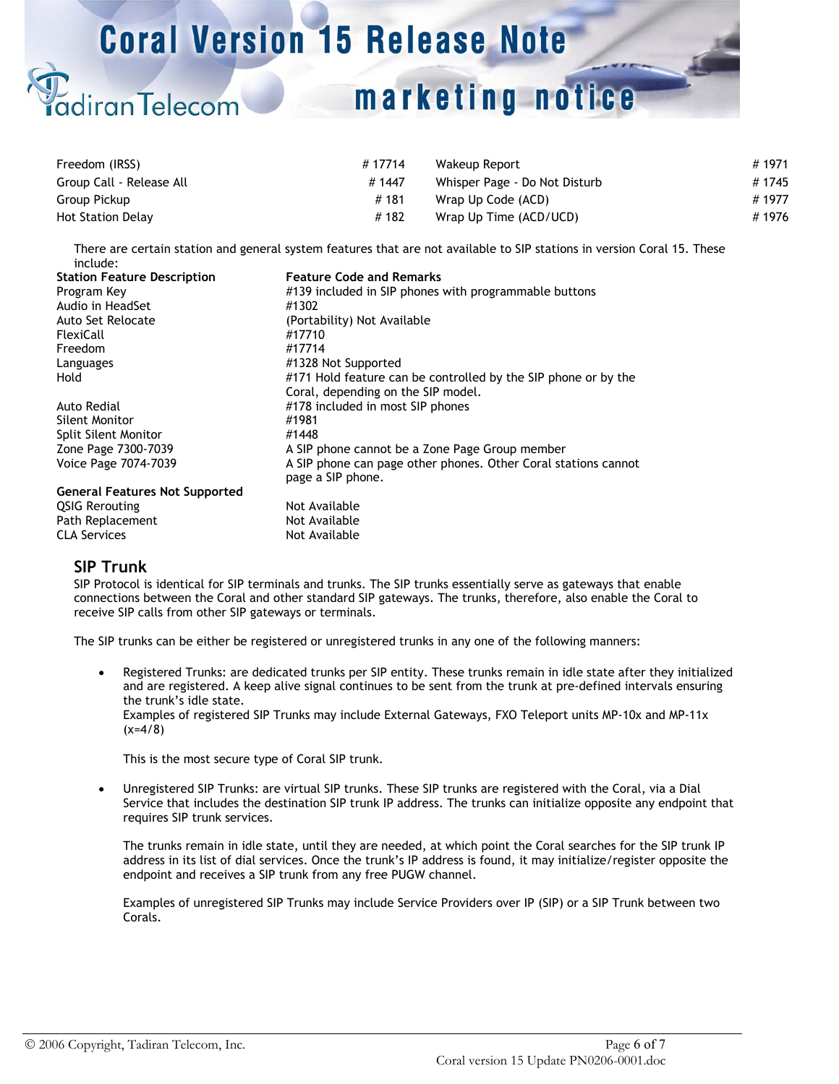# marketing notice

| Freedom (IRSS)           | #17714 | Wakeup Report                 | # 1971 |
|--------------------------|--------|-------------------------------|--------|
| Group Call - Release All | #1447  | Whisper Page - Do Not Disturb | #1745  |
| Group Pickup             | #181   | Wrap Up Code (ACD)            | #1977  |
| <b>Hot Station Delay</b> | #182   | Wrap Up Time (ACD/UCD)        | #1976  |

There are certain station and general system features that are not available to SIP stations in version Coral 15. These include:

| <b>Station Feature Description</b>    | <b>Feature Code and Remarks</b>                                |
|---------------------------------------|----------------------------------------------------------------|
| Program Key                           | #139 included in SIP phones with programmable buttons          |
| Audio in HeadSet                      | #1302                                                          |
| Auto Set Relocate                     | (Portability) Not Available                                    |
| FlexiCall                             | #17710                                                         |
| Freedom                               | #17714                                                         |
| Languages                             | #1328 Not Supported                                            |
| Hold                                  | #171 Hold feature can be controlled by the SIP phone or by the |
|                                       | Coral, depending on the SIP model.                             |
| Auto Redial                           | #178 included in most SIP phones                               |
| Silent Monitor                        | #1981                                                          |
| <b>Split Silent Monitor</b>           | #1448                                                          |
| Zone Page 7300-7039                   | A SIP phone cannot be a Zone Page Group member                 |
| Voice Page 7074-7039                  | A SIP phone can page other phones. Other Coral stations cannot |
|                                       | page a SIP phone.                                              |
| <b>General Features Not Supported</b> |                                                                |
| <b>QSIG Rerouting</b>                 | Not Available                                                  |
| Path Replacement                      | Not Available                                                  |
| CLA Services                          | Not Available                                                  |

### **SIP Trunk**

diranTelecom

SIP Protocol is identical for SIP terminals and trunks. The SIP trunks essentially serve as gateways that enable connections between the Coral and other standard SIP gateways. The trunks, therefore, also enable the Coral to receive SIP calls from other SIP gateways or terminals.

The SIP trunks can be either be registered or unregistered trunks in any one of the following manners:

• Registered Trunks: are dedicated trunks per SIP entity. These trunks remain in idle state after they initialized and are registered. A keep alive signal continues to be sent from the trunk at pre-defined intervals ensuring the trunk's idle state. Examples of registered SIP Trunks may include External Gateways, FXO Teleport units MP-10x and MP-11x  $(x=4/8)$ 

This is the most secure type of Coral SIP trunk.

• Unregistered SIP Trunks: are virtual SIP trunks. These SIP trunks are registered with the Coral, via a Dial Service that includes the destination SIP trunk IP address. The trunks can initialize opposite any endpoint that requires SIP trunk services.

The trunks remain in idle state, until they are needed, at which point the Coral searches for the SIP trunk IP address in its list of dial services. Once the trunk's IP address is found, it may initialize/register opposite the endpoint and receives a SIP trunk from any free PUGW channel.

Examples of unregistered SIP Trunks may include Service Providers over IP (SIP) or a SIP Trunk between two Corals.